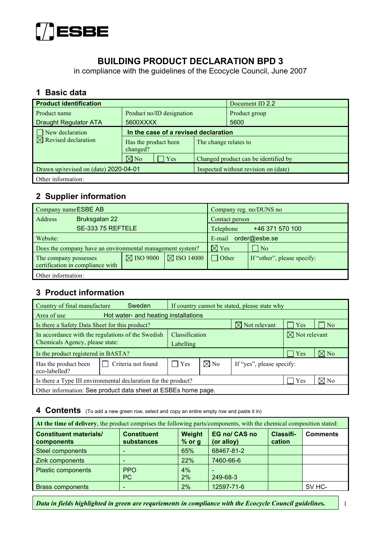

# **BUILDING PRODUCT DECLARATION BPD 3**

in compliance with the guidelines of the Ecocycle Council, June 2007

#### **1 Basic data**

| <b>Product identification</b>   |                                                           |             |                                      | Document ID 2.2                      |
|---------------------------------|-----------------------------------------------------------|-------------|--------------------------------------|--------------------------------------|
| Product name                    | Product no/ID designation                                 |             |                                      | Product group                        |
| <b>Draught Regulator ATA</b>    | 5600XXXX                                                  |             |                                      | 5600                                 |
| $\Box$ New declaration          | In the case of a revised declaration                      |             |                                      |                                      |
| $\boxtimes$ Revised declaration | Has the product been<br>The change relates to<br>changed? |             |                                      |                                      |
|                                 | $\boxtimes$ No                                            | $\vert$ Yes |                                      | Changed product can be identified by |
|                                 | Drawn up/revised on (date) 2020-04-01                     |             | Inspected without revision on (date) |                                      |
| Other information:              |                                                           |             |                                      |                                      |

## **2 Supplier information**

| Company name ESBE AB                                      |                                  |                      | Company reg. no/DUNS no |                              |                             |  |
|-----------------------------------------------------------|----------------------------------|----------------------|-------------------------|------------------------------|-----------------------------|--|
| <b>Address</b>                                            | Bruksgatan 22                    |                      |                         | Contact person               |                             |  |
|                                                           | SE-333 75 REFTELE                |                      |                         | +46 371 570 100<br>Telephone |                             |  |
| Website:                                                  |                                  |                      | order@esbe.se<br>E-mail |                              |                             |  |
| Does the company have an environmental management system? |                                  |                      | $\boxtimes$ Yes         | $\overline{N_{0}}$           |                             |  |
| The company possesses                                     | certification in compliance with | $\boxtimes$ ISO 9000 | $\boxtimes$ ISO 14000   | Other                        | If "other", please specify: |  |
| Other information:                                        |                                  |                      |                         |                              |                             |  |

#### **3 Product information**

| Country of final manufacture                                               | Sweden             | If country cannot be stated, please state why |                |                           |                |                                    |
|----------------------------------------------------------------------------|--------------------|-----------------------------------------------|----------------|---------------------------|----------------|------------------------------------|
| Hot water- and heating installations<br>Area of use                        |                    |                                               |                |                           |                |                                    |
| $\boxtimes$ Not relevant<br>Is there a Safety Data Sheet for this product? |                    |                                               |                |                           | $\vert$ Yes    | $\overline{\rm No}$                |
| In accordance with the regulations of the Swedish                          | Classification     |                                               |                | $\boxtimes$ Not relevant  |                |                                    |
| Chemicals Agency, please state:                                            |                    | Labelling                                     |                |                           |                |                                    |
| Is the product registered in BASTA?                                        |                    |                                               |                |                           | Yes            | $\nabla\!\!\!\!\!\nabla\,{\bf No}$ |
| Has the product been<br>eco-labelled?                                      | Criteria not found | $\mathbf{ }$   Yes                            | $\boxtimes$ No | If "yes", please specify: |                |                                    |
| Is there a Type III environmental declaration for the product?             |                    |                                               |                | Yes                       | $\boxtimes$ No |                                    |
| Other information: See product data sheet at ESBEs home page.              |                    |                                               |                |                           |                |                                    |

#### **4 Contents** (To add a new green row, select and copy an entire empty row and paste it in)

| At the time of delivery, the product comprises the following parts/components, with the chemical composition stated: |                                  |                    |                             |                            |                  |  |  |
|----------------------------------------------------------------------------------------------------------------------|----------------------------------|--------------------|-----------------------------|----------------------------|------------------|--|--|
| <b>Constituent materials/</b><br>components                                                                          | <b>Constituent</b><br>substances | Weight<br>$%$ or g | EG no/ CAS no<br>(or alloy) | <b>Classifi-</b><br>cation | <b>Comments</b>  |  |  |
| <b>Steel components</b>                                                                                              |                                  | 65%                | 68467-81-2                  |                            |                  |  |  |
| Zink components                                                                                                      |                                  | <b>22%</b>         | 7460-66-6                   |                            |                  |  |  |
| <b>Plastic components</b>                                                                                            | <b>PPO</b><br>PC                 | 4%<br>2%           | 249-68-3                    |                            |                  |  |  |
| <b>Brass components</b>                                                                                              |                                  | 2%                 | 12597-71-6                  |                            | SV <sub>HC</sub> |  |  |

*Data in fields highlighted in green are requriements in compliance with the Ecocycle Council guidelines.* 1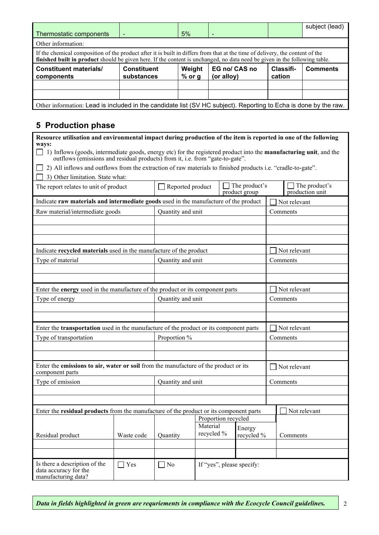|                                                                                                                                                                                                                                                             |                                  |                    |                             |                     | subject (lead)  |  |  |
|-------------------------------------------------------------------------------------------------------------------------------------------------------------------------------------------------------------------------------------------------------------|----------------------------------|--------------------|-----------------------------|---------------------|-----------------|--|--|
| Thermostatic components                                                                                                                                                                                                                                     |                                  | 5%                 |                             |                     |                 |  |  |
| Other information:                                                                                                                                                                                                                                          |                                  |                    |                             |                     |                 |  |  |
| If the chemical composition of the product after it is built in differs from that at the time of delivery, the content of the<br>finished built in product should be given here. If the content is unchanged, no data need be given in the following table. |                                  |                    |                             |                     |                 |  |  |
| <b>Constituent materials/</b><br>components                                                                                                                                                                                                                 | <b>Constituent</b><br>substances | Weight<br>$%$ or g | EG no/ CAS no<br>(or alloy) | Classifi-<br>cation | <b>Comments</b> |  |  |
|                                                                                                                                                                                                                                                             |                                  |                    |                             |                     |                 |  |  |
|                                                                                                                                                                                                                                                             |                                  |                    |                             |                     |                 |  |  |
| Other information: Lead is included in the candidate list (SV HC subject). Reporting to Echa is done by the raw.                                                                                                                                            |                                  |                    |                             |                     |                 |  |  |

# **5 Production phase**

| Resource utilisation and environmental impact during production of the item is reported in one of the following                                                                                                             |            |                   |                        |                                |                                  |  |
|-----------------------------------------------------------------------------------------------------------------------------------------------------------------------------------------------------------------------------|------------|-------------------|------------------------|--------------------------------|----------------------------------|--|
| ways:<br>$\Box$ 1) Inflows (goods, intermediate goods, energy etc) for the registered product into the <b>manufacturing unit</b> , and the<br>outflows (emissions and residual products) from it, i.e. from "gate-to-gate". |            |                   |                        |                                |                                  |  |
| 2) All inflows and outflows from the extraction of raw materials to finished products i.e. "cradle-to-gate".                                                                                                                |            |                   |                        |                                |                                  |  |
| 3) Other limitation. State what:                                                                                                                                                                                            |            |                   |                        |                                |                                  |  |
| The report relates to unit of product                                                                                                                                                                                       |            | Reported product  |                        | The product's<br>product group | The product's<br>production unit |  |
| Indicate raw materials and intermediate goods used in the manufacture of the product                                                                                                                                        |            |                   |                        |                                | Not relevant                     |  |
| Raw material/intermediate goods                                                                                                                                                                                             |            | Quantity and unit |                        |                                | Comments                         |  |
|                                                                                                                                                                                                                             |            |                   |                        |                                |                                  |  |
|                                                                                                                                                                                                                             |            |                   |                        |                                |                                  |  |
|                                                                                                                                                                                                                             |            |                   |                        |                                |                                  |  |
| Indicate recycled materials used in the manufacture of the product                                                                                                                                                          |            |                   |                        |                                | Not relevant                     |  |
| Type of material                                                                                                                                                                                                            |            | Quantity and unit |                        |                                | Comments                         |  |
|                                                                                                                                                                                                                             |            |                   |                        |                                |                                  |  |
|                                                                                                                                                                                                                             |            |                   |                        |                                |                                  |  |
| Enter the energy used in the manufacture of the product or its component parts                                                                                                                                              |            |                   |                        |                                | Not relevant                     |  |
| Type of energy                                                                                                                                                                                                              |            | Quantity and unit |                        |                                | Comments                         |  |
|                                                                                                                                                                                                                             |            |                   |                        |                                |                                  |  |
|                                                                                                                                                                                                                             |            |                   |                        |                                |                                  |  |
| Enter the <b>transportation</b> used in the manufacture of the product or its component parts                                                                                                                               |            |                   |                        |                                | Not relevant                     |  |
| Type of transportation                                                                                                                                                                                                      |            | Proportion %      |                        |                                | Comments                         |  |
|                                                                                                                                                                                                                             |            |                   |                        |                                |                                  |  |
|                                                                                                                                                                                                                             |            |                   |                        |                                |                                  |  |
| Enter the emissions to air, water or soil from the manufacture of the product or its<br>component parts                                                                                                                     |            |                   |                        |                                | Not relevant                     |  |
| Type of emission                                                                                                                                                                                                            |            | Quantity and unit |                        |                                | Comments                         |  |
|                                                                                                                                                                                                                             |            |                   |                        |                                |                                  |  |
|                                                                                                                                                                                                                             |            |                   |                        |                                |                                  |  |
| Enter the residual products from the manufacture of the product or its component parts                                                                                                                                      |            |                   |                        |                                | Not relevant                     |  |
|                                                                                                                                                                                                                             |            |                   | Proportion recycled    |                                |                                  |  |
| Residual product                                                                                                                                                                                                            | Waste code | Quantity          | Material<br>recycled % | Energy<br>recycled %           | Comments                         |  |
|                                                                                                                                                                                                                             |            |                   |                        |                                |                                  |  |
|                                                                                                                                                                                                                             |            |                   |                        |                                |                                  |  |
| Is there a description of the<br>data accuracy for the<br>manufacturing data?                                                                                                                                               | $\Box$ Yes | $\Box$ No         |                        | If "yes", please specify:      |                                  |  |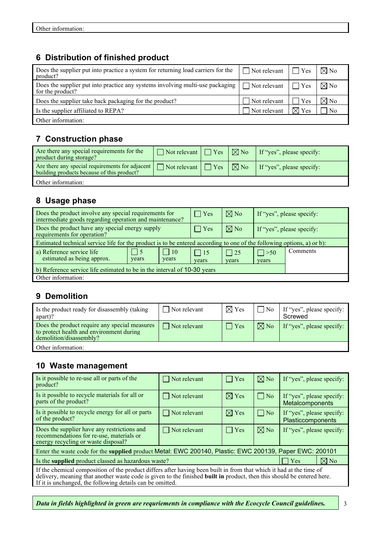# **6 Distribution of finished product**

| Does the supplier put into practice a system for returning load carriers for the<br>product?        | $\Box$ Not relevant | $\blacksquare$ Yes | $\nabla \nabla$ No |
|-----------------------------------------------------------------------------------------------------|---------------------|--------------------|--------------------|
| Does the supplier put into practice any systems involving multi-use packaging  <br>for the product? | $\Box$ Not relevant | $\blacksquare$ Yes | $\nabla$ No        |
| Does the supplier take back packaging for the product?                                              | Not relevant        | Yes                | $\boxtimes$ No     |
| Is the supplier affiliated to REPA?                                                                 | Not relevant        | $\boxtimes$ Yes    | N <sub>0</sub>     |
| Other information:                                                                                  |                     |                    |                    |

# **7 Construction phase**

| Are there any special requirements for the<br>product during storage?                                                        | $\Box$ Not relevant $\Box$ Yes |              | $\Box \boxtimes$ No $\Box$ If "yes", please specify: |
|------------------------------------------------------------------------------------------------------------------------------|--------------------------------|--------------|------------------------------------------------------|
| Are there any special requirements for adjacent $\Box$ Not relevant $\Box$ Yes<br>building products because of this product? |                                | $ \nabla$ No | If "yes", please specify:                            |
| Other information:                                                                                                           |                                |              |                                                      |

# **8 Usage phase**

| Does the product involve any special requirements for<br>intermediate goods regarding operation and maintenance?       |                           |                    | Yes                 | $\boxtimes$ No     |                           | If "yes", please specify: |
|------------------------------------------------------------------------------------------------------------------------|---------------------------|--------------------|---------------------|--------------------|---------------------------|---------------------------|
| Does the product have any special energy supply<br>requirements for operation?                                         |                           |                    | $\vert$ Yes         | $\boxtimes$ No     | If "yes", please specify: |                           |
| Estimated technical service life for the product is to be entered according to one of the following options, a) or b): |                           |                    |                     |                    |                           |                           |
| a) Reference service life<br>estimated as being approx.                                                                | $\blacksquare$ 5<br>years | $\Box$ 10<br>years | $\vert$ 15<br>years | $\Box$ 25<br>years | $\Box$ > 50<br>years      | Comments                  |
| b) Reference service life estimated to be in the interval of 10-30 years                                               |                           |                    |                     |                    |                           |                           |
| Other information:                                                                                                     |                           |                    |                     |                    |                           |                           |

## **9 Demolition**

| Is the product ready for disassembly (taking<br>apart)?                                                              | Not relevant        | $\boxtimes$ Yes | ' No           | If "yes", please specify:<br>Screwed |
|----------------------------------------------------------------------------------------------------------------------|---------------------|-----------------|----------------|--------------------------------------|
| Does the product require any special measures<br>to protect health and environment during<br>demolition/disassembly? | $\Box$ Not relevant | $\Box$ Yes      | $\boxtimes$ No | If "yes", please specify:            |
| Other information:                                                                                                   |                     |                 |                |                                      |

#### **10 Waste management**

| Is it possible to re-use all or parts of the<br>product?                                                                                                                                                                                                                                                   | $\Box$ Not relevant | $\Box$ Yes      | $\nabla$ No  | If "yes", please specify:                             |  |
|------------------------------------------------------------------------------------------------------------------------------------------------------------------------------------------------------------------------------------------------------------------------------------------------------------|---------------------|-----------------|--------------|-------------------------------------------------------|--|
| Is it possible to recycle materials for all or<br>parts of the product?                                                                                                                                                                                                                                    | $\Box$ Not relevant | $\boxtimes$ Yes | $\vert$   No | If "yes", please specify:<br>Metalcomponents          |  |
| Is it possible to recycle energy for all or parts<br>of the product?                                                                                                                                                                                                                                       | $\Box$ Not relevant | $\boxtimes$ Yes | $\Box$ No    | If "yes", please specify:<br><b>Plasticcomponents</b> |  |
| Does the supplier have any restrictions and<br>recommendations for re-use, materials or<br>energy recycling or waste disposal?                                                                                                                                                                             | $\Box$ Not relevant | $\Box$ Yes      | $\nabla$ No  | If "yes", please specify:                             |  |
| Enter the waste code for the supplied product Metal: EWC 200140, Plastic: EWC 200139, Paper EWC: 200101                                                                                                                                                                                                    |                     |                 |              |                                                       |  |
| $\nabla$ No<br>Is the <b>supplied</b> product classed as hazardous waste?<br>Yes                                                                                                                                                                                                                           |                     |                 |              |                                                       |  |
| If the chemical composition of the product differs after having been built in from that which it had at the time of<br>delivery, meaning that another waste code is given to the finished built in product, then this should be entered here.<br>If it is unchanged, the following details can be omitted. |                     |                 |              |                                                       |  |

*Data in fields highlighted in green are requriements in compliance with the Ecocycle Council guidelines.*  $\begin{vmatrix} 3 & 3 \\ 3 & 3 \end{vmatrix}$